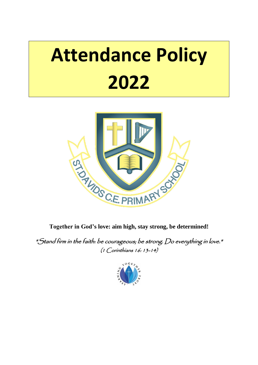# **Attendance Policy 2022**



**Together in God's love: aim high, stay strong, be determined!**

"Stand firm in the faith: be courageous; be strong. Do everything in love." (1 Corinthians 16: 13-14)

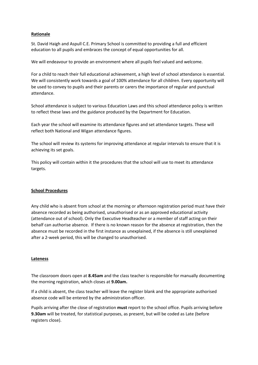#### **Rationale**

St. David Haigh and Aspull C.E. Primary School is committed to providing a full and efficient education to all pupils and embraces the concept of equal opportunities for all.

We will endeavour to provide an environment where all pupils feel valued and welcome.

For a child to reach their full educational achievement, a high level of school attendance is essential. We will consistently work towards a goal of 100% attendance for all children. Every opportunity will be used to convey to pupils and their parents or carers the importance of regular and punctual attendance.

School attendance is subject to various Education Laws and this school attendance policy is written to reflect these laws and the guidance produced by the Department for Education.

Each year the school will examine its attendance figures and set attendance targets. These will reflect both National and Wigan attendance figures.

The school will review its systems for improving attendance at regular intervals to ensure that it is achieving its set goals.

This policy will contain within it the procedures that the school will use to meet its attendance targets.

#### **School Procedures**

Any child who is absent from school at the morning or afternoon registration period must have their absence recorded as being authorised, unauthorised or as an approved educational activity (attendance out of school). Only the Executive Headteacher or a member of staff acting on their behalf can authorise absence. If there is no known reason for the absence at registration, then the absence must be recorded in the first instance as unexplained, if the absence is still unexplained after a 2-week period, this will be changed to unauthorised.

#### **Lateness**

The classroom doors open at **8.45am** and the class teacher is responsible for manually documenting the morning registration, which closes at **9.00am.**

If a child is absent, the class teacher will leave the register blank and the appropriate authorised absence code will be entered by the administration officer.

Pupils arriving after the close of registration **must** report to the school office. Pupils arriving before **9.30am** will be treated, for statistical purposes, as present, but will be coded as Late (before registers close).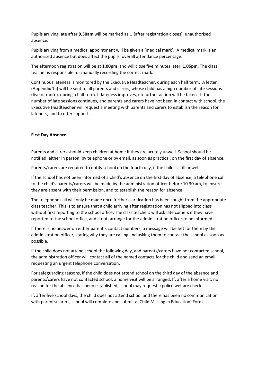Pupils arriving late after **9.30am** will be marked as U (after registration closes), unauthorised absence.

Pupils arriving from a medical appointment will be given a 'medical mark'. A medical mark is an authorised absence but does affect the pupils' overall attendance percentage.

The afternoon registration will be at **1.00pm** and will close five minutes later, **1.05pm**. The class teacher is responsible for manually recording the correct mark.

Continuous lateness is monitored by the Executive Headteacher, during each half term. A letter (Appendix 1a) will be sent to all parents and carers, whose child has a high number of late sessions (five or more), during a half term. If lateness improves, no further action will be taken. If the number of late sessions continues, and parents and carers have not been in contact with school, the Executive Headteacher will request a meeting with parents and carers to establish the reason for lateness, and to offer support.

#### **First Day Absence**

Parents and carers should keep children at home if they are acutely unwell. School should be notified, either in person, by telephone or by email, as soon as practical, on the first day of absence.

Parents/carers are required to notify school on the fourth day, if the child is still unwell.

If the school has not been informed of a child's absence on the first day of absence, a telephone call to the child's parents/carers will be made by the administration officer before 10.30 am, to ensure they are absent with their permission, and to establish the reason for absence.

The telephone call will only be made once further clarification has been sought from the appropriate class teacher. This is to ensure that a child arriving after registration has not slipped into class without first reporting to the school office. The class teachers will ask late comers if they have reported to the school office, and if not, arrange for the administration officer to be informed.

If there is no answer on either parent's contact numbers, a message will be left for them by the administration officer, stating why they are calling and asking them to contact the school as soon as possible.

If the child does not attend school the following day, and parents/carers have not contacted school, the administration officer will contact **all** of the named contacts for the child and send an email requesting an urgent telephone conversation.

For safeguarding reasons, if the child does not attend school on the third day of the absence and parents/carers have not contacted school, a home visit will be arranged. If, after a home visit, no reason for the absence has been established, school may request a police welfare check.

If, after five school days, the child does not attend school and there has been no communication with parents/carers, school will complete and submit a 'Child Missing in Education' Form.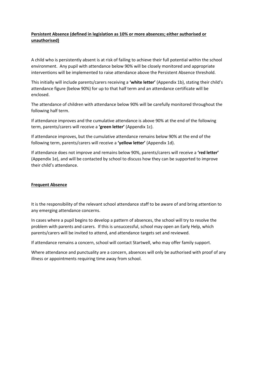### **Persistent Absence (defined in legislation as 10% or more absences; either authorised or unauthorised)**

A child who is persistently absent is at risk of failing to achieve their full potential within the school environment. Any pupil with attendance below 90% will be closely monitored and appropriate interventions will be implemented to raise attendance above the Persistent Absence threshold.

This initially will include parents/carers receiving a **'white letter'** (Appendix 1b), stating their child's attendance figure (below 90%) for up to that half term and an attendance certificate will be enclosed.

The attendance of children with attendance below 90% will be carefully monitored throughout the following half term.

If attendance improves and the cumulative attendance is above 90% at the end of the following term, parents/carers will receive a **'green letter'** (Appendix 1c).

If attendance improves, but the cumulative attendance remains below 90% at the end of the following term, parents/carers will receive a **'yellow letter'** (Appendix 1d).

If attendance does not improve and remains below 90%, parents/carers will receive a **'red letter'** (Appendix 1e), and will be contacted by school to discuss how they can be supported to improve their child's attendance.

#### **Frequent Absence**

It is the responsibility of the relevant school attendance staff to be aware of and bring attention to any emerging attendance concerns.

In cases where a pupil begins to develop a pattern of absences, the school will try to resolve the problem with parents and carers. If this is unsuccessful, school may open an Early Help, which parents/carers will be invited to attend, and attendance targets set and reviewed.

If attendance remains a concern, school will contact Startwell, who may offer family support.

Where attendance and punctuality are a concern, absences will only be authorised with proof of any illness or appointments requiring time away from school.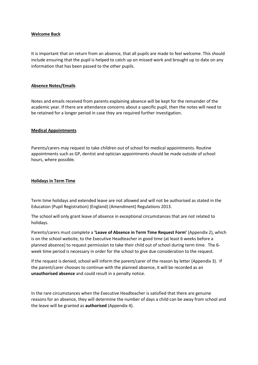#### **Welcome Back**

It is important that on return from an absence, that all pupils are made to feel welcome. This should include ensuring that the pupil is helped to catch up on missed work and brought up to date on any information that has been passed to the other pupils.

#### **Absence Notes/Emails**

Notes and emails received from parents explaining absence will be kept for the remainder of the academic year. If there are attendance concerns about a specific pupil, then the notes will need to be retained for a longer period in case they are required further investigation.

#### **Medical Appointments**

Parents/carers may request to take children out of school for medical appointments. Routine appointments such as GP, dentist and optician appointments should be made outside of school hours, where possible.

#### **Holidays in Term Time**

Term time holidays and extended leave are not allowed and will not be authorised as stated in the Education (Pupil Registration) (England) (Amendment) Regulations 2013.

The school will only grant leave of absence in exceptional circumstances that are not related to holidays.

Parents/carers must complete a **'Leave of Absence in Term Time Request Form'** (Appendix 2), which is on the school website, to the Executive Headteacher in good time (at least 6 weeks before a planned absence) to request permission to take their child out of school during term time. The 6 week time period is necessary in order for the school to give due consideration to the request.

If the request is denied, school will inform the parent/carer of the reason by letter (Appendix 3). If the parent/carer chooses to continue with the planned absence, it will be recorded as an **unauthorised absence** and could result in a penalty notice.

In the rare circumstances when the Executive Headteacher is satisfied that there are genuine reasons for an absence, they will determine the number of days a child can be away from school and the leave will be granted as **authorised** (Appendix 4).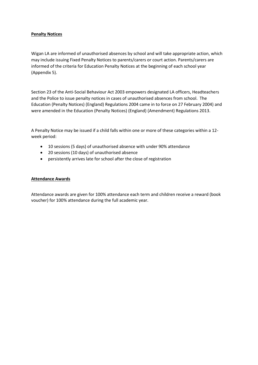#### **Penalty Notices**

Wigan LA are informed of unauthorised absences by school and will take appropriate action, which may include issuing Fixed Penalty Notices to parents/carers or court action. Parents/carers are informed of the criteria for Education Penalty Notices at the beginning of each school year (Appendix 5).

Section 23 of the Anti-Social Behaviour Act 2003 empowers designated LA officers, Headteachers and the Police to issue penalty notices in cases of unauthorised absences from school. The Education (Penalty Notices) (England) Regulations 2004 came in to force on 27 February 2004) and were amended in the Education (Penalty Notices) (England) (Amendment) Regulations 2013.

A Penalty Notice may be issued if a child falls within one or more of these categories within a 12 week period:

- 10 sessions (5 days) of unauthorised absence with under 90% attendance
- 20 sessions (10 days) of unauthorised absence
- persistently arrives late for school after the close of registration

#### **Attendance Awards**

Attendance awards are given for 100% attendance each term and children receive a reward (book voucher) for 100% attendance during the full academic year.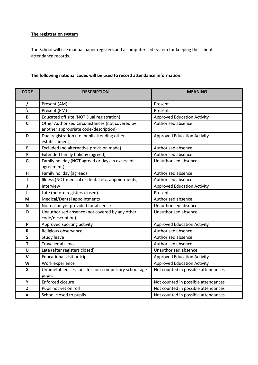# **The registration system**

The School will use manual paper registers and a computerised system for keeping the school attendance records.

# **The following national codes will be used to record attendance information:**

| <b>CODE</b>               | <b>DESCRIPTION</b>                                                                      | <b>MEANING</b>                      |  |  |
|---------------------------|-----------------------------------------------------------------------------------------|-------------------------------------|--|--|
|                           | Present (AM)                                                                            | Present                             |  |  |
|                           | Present (PM)                                                                            | Present                             |  |  |
| $\, {\bf B}$              | Educated off site (NOT Dual registration)                                               | <b>Approved Education Activity</b>  |  |  |
| $\mathbf c$               | Other Authorised Circumstances (not covered by<br>another appropriate code/description) | Authorised absence                  |  |  |
| D                         | Dual registration (i.e. pupil attending other<br>establishment)                         | <b>Approved Education Activity</b>  |  |  |
| E                         | Excluded (no alternative provision made)                                                | Authorised absence                  |  |  |
| F                         | Extended family holiday (agreed)                                                        | Authorised absence                  |  |  |
| G                         | Family holiday (NOT agreed or days in excess of<br>agreement)                           | Unauthorised absence                |  |  |
| н                         | Family holiday (agreed)                                                                 | Authorised absence                  |  |  |
| ı                         | Illness (NOT medical or dental etc. appointments)                                       | Authorised absence                  |  |  |
| J                         | Interview                                                                               | <b>Approved Education Activity</b>  |  |  |
| L                         | Late (before registers closed)                                                          | Present                             |  |  |
| M                         | Medical/Dental appointments                                                             | Authorised absence                  |  |  |
| N                         | No reason yet provided for absence                                                      | Unauthorised absence                |  |  |
| $\mathbf{o}$              | Unauthorised absence (not covered by any other<br>code/description)                     | Unauthorised absence                |  |  |
| $\boldsymbol{\mathsf{P}}$ | Approved sporting activity                                                              | <b>Approved Education Activity</b>  |  |  |
| $\mathsf R$               | Religious observance                                                                    | Authorised absence                  |  |  |
| $\mathsf{S}$              | <b>Study leave</b>                                                                      | Authorised absence                  |  |  |
| T                         | Traveller absence                                                                       | Authorised absence                  |  |  |
| U                         | Late (after registers closed)                                                           | Unauthorised absence                |  |  |
| $\mathbf v$               | <b>Educational visit or trip</b>                                                        | <b>Approved Education Activity</b>  |  |  |
| W                         | Work experience                                                                         | <b>Approved Education Activity</b>  |  |  |
| X                         | Untimetabled sessions for non-compulsory school-age<br>pupils                           | Not counted in possible attendances |  |  |
| Y                         | <b>Enforced closure</b>                                                                 | Not counted in possible attendances |  |  |
| $\mathbf{Z}$              | Pupil not yet on roll                                                                   | Not counted in possible attendances |  |  |
| $\pmb{\sharp}$            | School closed to pupils                                                                 | Not counted in possible attendances |  |  |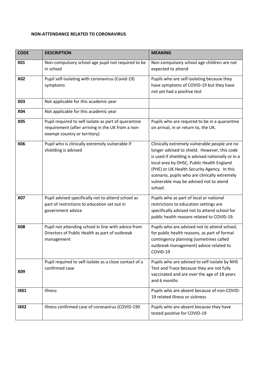## **NON-ATTENDANCE RELATED TO CORONAVIRUS**

| <b>CODE</b> | <b>DESCRIPTION</b>                                                                                                                        | <b>MEANING</b>                                                                                                                                                                                                                                                                                                                                        |  |  |
|-------------|-------------------------------------------------------------------------------------------------------------------------------------------|-------------------------------------------------------------------------------------------------------------------------------------------------------------------------------------------------------------------------------------------------------------------------------------------------------------------------------------------------------|--|--|
| <b>X01</b>  | Non-compulsory school age pupil not required to be<br>in school                                                                           | Non-compulsory school age children are not<br>expected to attend                                                                                                                                                                                                                                                                                      |  |  |
| <b>X02</b>  | Pupil self-isolating with coronavirus (Covid-19)<br>symptoms                                                                              | Pupils who are self-isolating because they<br>have symptoms of COVID-19 but they have<br>not yet had a positive test                                                                                                                                                                                                                                  |  |  |
| <b>X03</b>  | Not applicable for this academic year                                                                                                     |                                                                                                                                                                                                                                                                                                                                                       |  |  |
| <b>X04</b>  | Not applicable for this academic year                                                                                                     |                                                                                                                                                                                                                                                                                                                                                       |  |  |
| <b>X05</b>  | Pupil required to self isolate as part of quarantine<br>requirement (after arriving in the UK from a non-<br>exempt country or territory) | Pupils who are required to be in a quarantine<br>on arrival, in or return to, the UK.                                                                                                                                                                                                                                                                 |  |  |
| X06         | Pupil who is clinically extremely vulnerable if<br>shielding is advised                                                                   | Clinically extremely vulnerable people are no<br>longer advised to shield. However, this code<br>is used if shielding is advised nationally or in a<br>local area by DHSC, Public Health England<br>(PHE) or UK Health Security Agency. In this<br>scenario, pupils who are clinically extremely<br>vulnerable may be advised not to atend<br>school. |  |  |
| <b>X07</b>  | Pupil advised specifically not to attend school as<br>part of restrictions to education set out in<br>government advice                   | Pupils who as part of local or national<br>restrictions to education settings are<br>specifically advised not to attend school for<br>public health reasons related to COVID-19.                                                                                                                                                                      |  |  |
| <b>X08</b>  | Pupil not attending school in line with advice from<br>Directors of Public Health as part of outbreak<br>management                       | Pupils who are advised not to attend school,<br>for public health reasons, as part of formal<br>contingency planning (sometimes called<br>outbreak management) advice related to<br>COVID-19                                                                                                                                                          |  |  |
| X09         | Pupil required to self-isolate as a close contact of a<br>confirmed case                                                                  | Pupils who are advised to self-isolate by NHS<br>Test and Trace because they are not fully<br>vaccinated and are over the age of 18 years<br>and 6 months                                                                                                                                                                                             |  |  |
| <b>IX01</b> | Illness                                                                                                                                   | Pupils who are absent because of non-COVID-<br>19 related illness or sickness                                                                                                                                                                                                                                                                         |  |  |
| <b>IX02</b> | Illness confirmed case of coronavirus (COVID-190                                                                                          | Pupils who are absent because they have<br>tested positive for COVID-19                                                                                                                                                                                                                                                                               |  |  |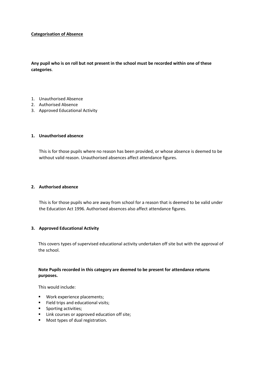#### **Categorisation of Absence**

**Any pupil who is on roll but not present in the school must be recorded within one of these categories**.

- 1. Unauthorised Absence
- 2. Authorised Absence
- 3. Approved Educational Activity

#### **1. Unauthorised absence**

This is for those pupils where no reason has been provided, or whose absence is deemed to be without valid reason. Unauthorised absences affect attendance figures.

#### **2. Authorised absence**

This is for those pupils who are away from school for a reason that is deemed to be valid under the Education Act 1996. Authorised absences also affect attendance figures.

#### **3. Approved Educational Activity**

This covers types of supervised educational activity undertaken off site but with the approval of the school.

#### **Note Pupils recorded in this category are deemed to be present for attendance returns purposes.**

This would include:

- **Work experience placements:**
- Field trips and educational visits;
- **Sporting activities;**
- **EXEDEN** Link courses or approved education off site;
- **Most types of dual registration.**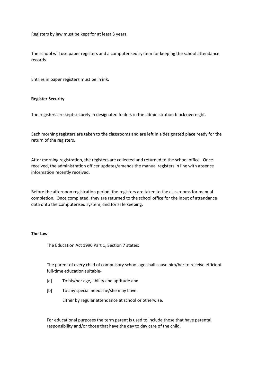Registers by law must be kept for at least 3 years.

The school will use paper registers and a computerised system for keeping the school attendance records.

Entries in paper registers must be in ink.

#### **Register Security**

The registers are kept securely in designated folders in the administration block overnight.

Each morning registers are taken to the classrooms and are left in a designated place ready for the return of the registers.

After morning registration, the registers are collected and returned to the school office. Once received, the administration officer updates/amends the manual registers in line with absence information recently received.

Before the afternoon registration period, the registers are taken to the classrooms for manual completion. Once completed, they are returned to the school office for the input of attendance data onto the computerised system, and for safe keeping.

#### **The Law**

The Education Act 1996 Part 1, Section 7 states:

The parent of every child of compulsory school age shall cause him/her to receive efficient full-time education suitable-

- [a] To his/her age, ability and aptitude and
- [b] To any special needs he/she may have.

Either by regular attendance at school or otherwise.

For educational purposes the term parent is used to include those that have parental responsibility and/or those that have the day to day care of the child.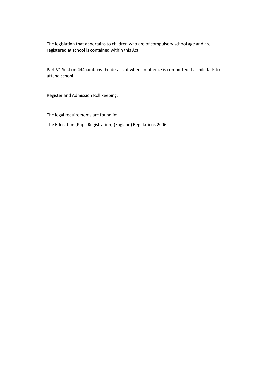The legislation that appertains to children who are of compulsory school age and are registered at school is contained within this Act.

Part V1 Section 444 contains the details of when an offence is committed if a child fails to attend school.

Register and Admission Roll keeping.

The legal requirements are found in:

The Education [Pupil Registration] (England) Regulations 2006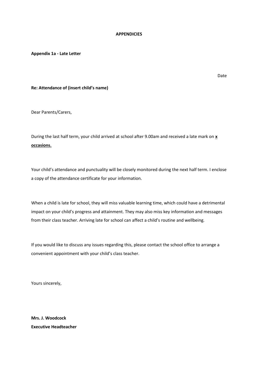#### **APPENDICIES**

**Appendix 1a - Late Letter** 

Date

#### **Re: Attendance of (insert child's name)**

Dear Parents/Carers,

During the last half term, your child arrived at school after 9.00am and received a late mark on **x occasions.**

Your child's attendance and punctuality will be closely monitored during the next half term. I enclose a copy of the attendance certificate for your information.

When a child is late for school, they will miss valuable learning time, which could have a detrimental impact on your child's progress and attainment. They may also miss key information and messages from their class teacher. Arriving late for school can affect a child's routine and wellbeing.

If you would like to discuss any issues regarding this, please contact the school office to arrange a convenient appointment with your child's class teacher.

Yours sincerely,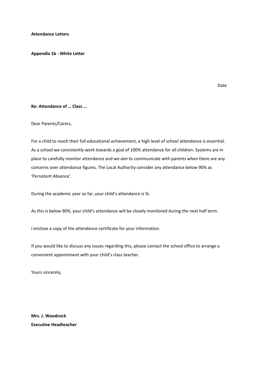**Attendance Letters** 

**Appendix 1b - White Letter** 

Date

#### **Re: Attendance of … Class …**

Dear Parents/Carers,

For a child to reach their full educational achievement, a high level of school attendance is essential. As a school we consistently work towards a goal of 100% attendance for all children. Systems are in place to carefully monitor attendance and we aim to communicate with parents when there are any concerns over attendance figures. The Local Authority consider any attendance below 90% as 'Persistent Absence'.

During the academic year so far, your child's attendance is %.

As this is below 90%, your child's attendance will be closely monitored during the next half term.

I enclose a copy of the attendance certificate for your information.

If you would like to discuss any issues regarding this, please contact the school office to arrange a convenient appointment with your child's class teacher.

Yours sincerely,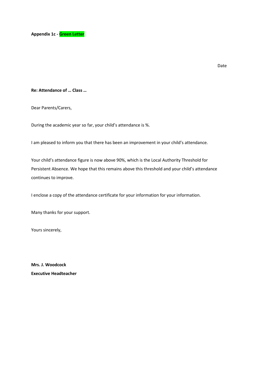#### Date

#### **Re: Attendance of … Class …**

Dear Parents/Carers,

During the academic year so far, your child's attendance is %.

I am pleased to inform you that there has been an improvement in your child's attendance.

Your child's attendance figure is now above 90%, which is the Local Authority Threshold for Persistent Absence. We hope that this remains above this threshold and your child's attendance continues to improve.

I enclose a copy of the attendance certificate for your information for your information.

Many thanks for your support.

Yours sincerely,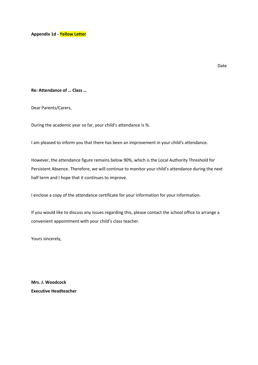**Appendix 1d - Yellow Letter**

Date

#### **Re: Attendance of … Class …**

Dear Parents/Carers,

During the academic year so far, your child's attendance is %.

I am pleased to inform you that there has been an improvement in your child's attendance.

However, the attendance figure remains below 90%, which is the Local Authority Threshold for Persistent Absence. Therefore, we will continue to monitor your child's attendance during the next half term and I hope that it continues to improve.

I enclose a copy of the attendance certificate for your information for your information.

If you would like to discuss any issues regarding this, please contact the school office to arrange a convenient appointment with your child's class teacher.

Yours sincerely,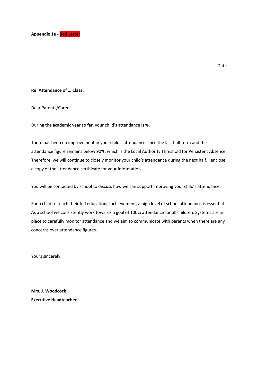

Date

#### **Re: Attendance of … Class …**

Dear Parents/Carers,

During the academic year so far, your child's attendance is %.

There has been no improvement in your child's attendance since the last half term and the attendance figure remains below 90%, which is the Local Authority Threshold for Persistent Absence. Therefore, we will continue to closely monitor your child's attendance during the next half. I enclose a copy of the attendance certificate for your information.

You will be contacted by school to discuss how we can support improving your child's attendance.

For a child to reach their full educational achievement, a high level of school attendance is essential. As a school we consistently work towards a goal of 100% attendance for all children. Systems are in place to carefully monitor attendance and we aim to communicate with parents when there are any concerns over attendance figures.

Yours sincerely,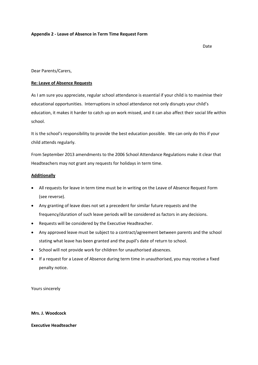#### **Appendix 2 - Leave of Absence in Term Time Request Form**

Date

Dear Parents/Carers,

#### **Re: Leave of Absence Requests**

As I am sure you appreciate, regular school attendance is essential if your child is to maximise their educational opportunities. Interruptions in school attendance not only disrupts your child's education, it makes it harder to catch up on work missed, and it can also affect their social life within school.

It is the school's responsibility to provide the best education possible. We can only do this if your child attends regularly.

From September 2013 amendments to the 2006 School Attendance Regulations make it clear that Headteachers may not grant any requests for holidays in term time.

#### **Additionally**

- All requests for leave in term time must be in writing on the Leave of Absence Request Form (see reverse).
- Any granting of leave does not set a precedent for similar future requests and the frequency/duration of such leave periods will be considered as factors in any decisions.
- Requests will be considered by the Executive Headteacher.
- Any approved leave must be subject to a contract/agreement between parents and the school stating what leave has been granted and the pupil's date of return to school.
- School will not provide work for children for unauthorised absences.
- If a request for a Leave of Absence during term time in unauthorised, you may receive a fixed penalty notice.

Yours sincerely

**Mrs. J. Woodcock**

**Executive Headteacher**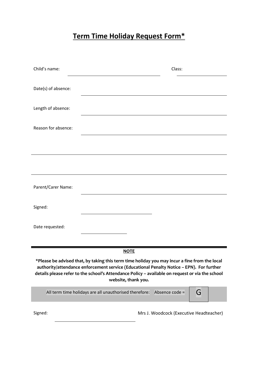# **Term Time Holiday Request Form\***

| Child's name:                                                                                                                                                                                                                                                                                                       | Class:                                                 |                                         |   |  |  |  |
|---------------------------------------------------------------------------------------------------------------------------------------------------------------------------------------------------------------------------------------------------------------------------------------------------------------------|--------------------------------------------------------|-----------------------------------------|---|--|--|--|
| Date(s) of absence:                                                                                                                                                                                                                                                                                                 |                                                        |                                         |   |  |  |  |
| Length of absence:                                                                                                                                                                                                                                                                                                  |                                                        |                                         |   |  |  |  |
| Reason for absence:                                                                                                                                                                                                                                                                                                 |                                                        |                                         |   |  |  |  |
|                                                                                                                                                                                                                                                                                                                     |                                                        |                                         |   |  |  |  |
|                                                                                                                                                                                                                                                                                                                     |                                                        |                                         |   |  |  |  |
| Parent/Carer Name:                                                                                                                                                                                                                                                                                                  |                                                        |                                         |   |  |  |  |
| Signed:                                                                                                                                                                                                                                                                                                             |                                                        |                                         |   |  |  |  |
| Date requested:                                                                                                                                                                                                                                                                                                     |                                                        |                                         |   |  |  |  |
|                                                                                                                                                                                                                                                                                                                     |                                                        |                                         |   |  |  |  |
|                                                                                                                                                                                                                                                                                                                     | <b>NOTE</b>                                            |                                         |   |  |  |  |
| *Please be advised that, by taking this term time holiday you may incur a fine from the local<br>authority/attendance enforcement service (Educational Penalty Notice - EPN). For further<br>details please refer to the school's Attendance Policy - available on request or via the school<br>website, thank you. |                                                        |                                         |   |  |  |  |
|                                                                                                                                                                                                                                                                                                                     | All term time holidays are all unauthorised therefore: | Absence code =                          | G |  |  |  |
| Signed:                                                                                                                                                                                                                                                                                                             |                                                        | Mrs J. Woodcock (Executive Headteacher) |   |  |  |  |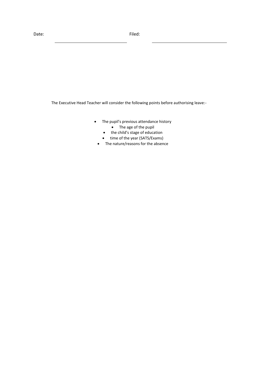The Executive Head Teacher will consider the following points before authorising leave:-

- The pupil's previous attendance history • The age of the pupil
	- the child's stage of education
	- time of the year (SATS/Exams)
	- The nature/reasons for the absence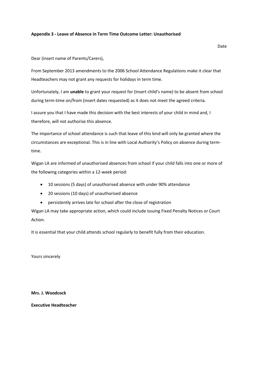#### **Appendix 3 - Leave of Absence in Term Time Outcome Letter: Unauthorised**

Dear (insert name of Parents/Carers),

From September 2013 amendments to the 2006 School Attendance Regulations make it clear that Headteachers may not grant any requests for holidays in term time.

Unfortunately, I am **unable** to grant your request for (insert child's name) to be absent from school during term-time on/from (insert dates requested) as it does not meet the agreed criteria.

I assure you that I have made this decision with the best interests of your child in mind and, I therefore, will not authorise this absence.

The importance of school attendance is such that leave of this kind will only be granted where the circumstances are exceptional. This is in line with Local Authority's Policy on absence during termtime.

Wigan LA are informed of unauthorised absences from school if your child falls into one or more of the following categories within a 12-week period:

- 10 sessions (5 days) of unauthorised absence with under 90% attendance
- 20 sessions (10 days) of unauthorised absence
- persistently arrives late for school after the close of registration

Wigan LA may take appropriate action, which could include issuing Fixed Penalty Notices or Court Action.

It is essential that your child attends school regularly to benefit fully from their education.

Yours sincerely

**Mrs. J. Woodcock**

**Executive Headteacher**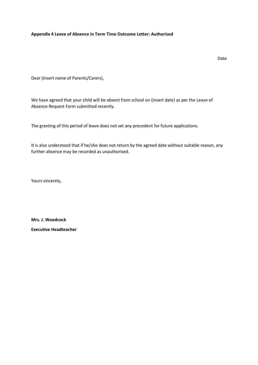#### **Appendix 4 Leave of Absence in Term Time Outcome Letter: Authorised**

Dear (insert name of Parents/Carers),

We have agreed that your child will be absent from school on (insert date) as per the Leave of Absence Request Form submitted recently.

The granting of this period of leave does not set any precedent for future applications.

It is also understood that if he/she does not return by the agreed date without suitable reason, any further absence may be recorded as unauthorised.

Yours sincerely,

**Mrs. J. Woodcock**

**Executive Headteacher**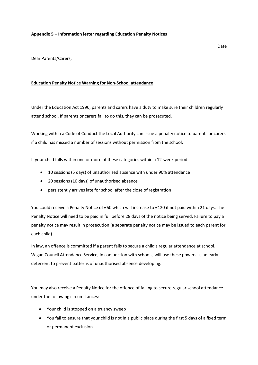#### **Appendix 5 – Information letter regarding Education Penalty Notices**

Dear Parents/Carers,

#### **Education Penalty Notice Warning for Non-School attendance**

Under the Education Act 1996, parents and carers have a duty to make sure their children regularly attend school. If parents or carers fail to do this, they can be prosecuted.

Working within a Code of Conduct the Local Authority can issue a penalty notice to parents or carers if a child has missed a number of sessions without permission from the school.

If your child falls within one or more of these categories within a 12-week period

- 10 sessions (5 days) of unauthorised absence with under 90% attendance
- 20 sessions (10 days) of unauthorised absence
- persistently arrives late for school after the close of registration

You could receive a Penalty Notice of £60 which will increase to £120 if not paid within 21 days. The Penalty Notice will need to be paid in full before 28 days of the notice being served. Failure to pay a penalty notice may result in prosecution (a separate penalty notice may be issued to each parent for each child).

In law, an offence is committed if a parent fails to secure a child's regular attendance at school. Wigan Council Attendance Service, in conjunction with schools, will use these powers as an early deterrent to prevent patterns of unauthorised absence developing.

You may also receive a Penalty Notice for the offence of failing to secure regular school attendance under the following circumstances:

- Your child is stopped on a truancy sweep
- You fail to ensure that your child is not in a public place during the first 5 days of a fixed term or permanent exclusion.